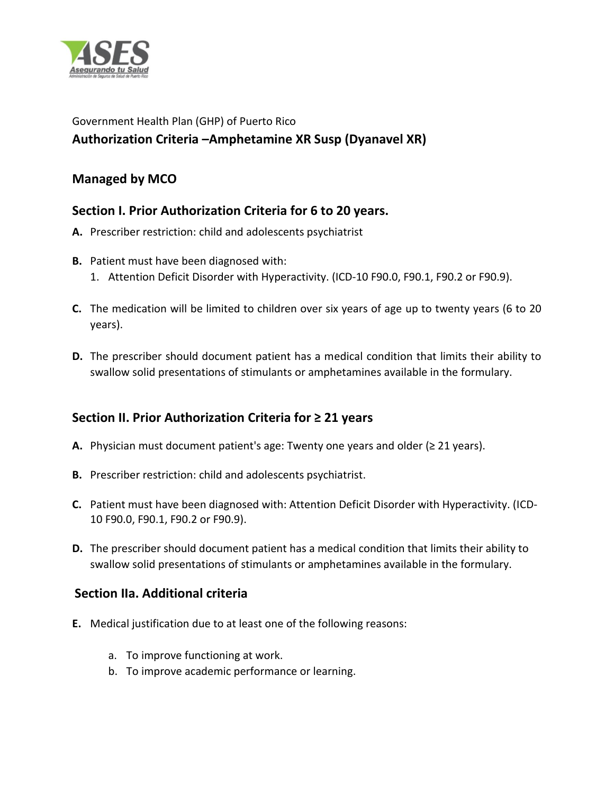

# Government Health Plan (GHP) of Puerto Rico **Authorization Criteria –Amphetamine XR Susp (Dyanavel XR)**

#### **Managed by MCO**

#### **Section I. Prior Authorization Criteria for 6 to 20 years.**

- **A.** Prescriber restriction: child and adolescents psychiatrist
- **B.** Patient must have been diagnosed with:
	- 1. Attention Deficit Disorder with Hyperactivity. (ICD-10 F90.0, F90.1, F90.2 or F90.9).
- **C.** The medication will be limited to children over six years of age up to twenty years (6 to 20 years).
- **D.** The prescriber should document patient has a medical condition that limits their ability to swallow solid presentations of stimulants or amphetamines available in the formulary.

## **Section II. Prior Authorization Criteria for ≥ 21 years**

- **A.** Physician must document patient's age: Twenty one years and older (≥ 21 years).
- **B.** Prescriber restriction: child and adolescents psychiatrist.
- **C.** Patient must have been diagnosed with: Attention Deficit Disorder with Hyperactivity. (ICD-10 F90.0, F90.1, F90.2 or F90.9).
- **D.** The prescriber should document patient has a medical condition that limits their ability to swallow solid presentations of stimulants or amphetamines available in the formulary.

## **Section IIa. Additional criteria**

- **E.** Medical justification due to at least one of the following reasons:
	- a. To improve functioning at work.
	- b. To improve academic performance or learning.